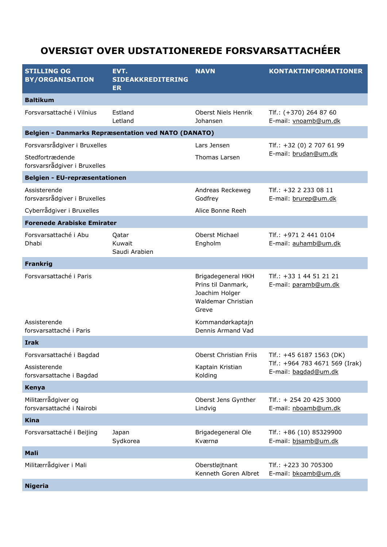## **OVERSIGT OVER UDSTATIONEREDE FORSVARSATTACHÉER**

| <b>STILLING OG</b><br><b>BY/ORGANISATION</b>               | EVT.<br><b>SIDEAKKREDITERING</b><br><b>ER</b> | <b>NAVN</b>                                                                               | <b>KONTAKTINFORMATIONER</b>                                                        |
|------------------------------------------------------------|-----------------------------------------------|-------------------------------------------------------------------------------------------|------------------------------------------------------------------------------------|
| <b>Baltikum</b>                                            |                                               |                                                                                           |                                                                                    |
| Forsvarsattaché i Vilnius                                  | Estland<br>Letland                            | Oberst Niels Henrik<br>Johansen                                                           | Tlf.: (+370) 264 87 60<br>E-mail: vnoamb@um.dk                                     |
| <b>Belgien - Danmarks Repræsentation ved NATO (DANATO)</b> |                                               |                                                                                           |                                                                                    |
| Forsvarsrådgiver i Bruxelles                               |                                               | Lars Jensen                                                                               | Tlf.: +32 (0) 2 707 61 99                                                          |
| Stedfortrædende<br>forsvarsrådgiver i Bruxelles            |                                               | Thomas Larsen                                                                             | E-mail: brudan@um.dk                                                               |
| Belgien - EU-repræsentationen                              |                                               |                                                                                           |                                                                                    |
| Assisterende<br>forsvarsrådgiver i Bruxelles               |                                               | Andreas Reckeweg<br>Godfrey                                                               | Tlf.: +32 2 233 08 11<br>E-mail: brurep@um.dk                                      |
| Cyberrådgiver i Bruxelles                                  |                                               | Alice Bonne Reeh                                                                          |                                                                                    |
| <b>Forenede Arabiske Emirater</b>                          |                                               |                                                                                           |                                                                                    |
| Forsvarsattaché i Abu<br>Dhabi                             | Qatar<br>Kuwait<br>Saudi Arabien              | Oberst Michael<br>Engholm                                                                 | Tlf.: +971 2 441 0104<br>E-mail: auhamb@um.dk                                      |
| <b>Frankrig</b>                                            |                                               |                                                                                           |                                                                                    |
| Forsvarsattaché i Paris                                    |                                               | Brigadegeneral HKH<br>Prins til Danmark,<br>Joachim Holger<br>Waldemar Christian<br>Greve | Tlf.: +33 1 44 51 21 21<br>E-mail: paramb@um.dk                                    |
| Assisterende<br>forsvarsattaché i Paris                    |                                               | Kommandørkaptajn<br>Dennis Armand Vad                                                     |                                                                                    |
| <b>Irak</b>                                                |                                               |                                                                                           |                                                                                    |
| Forsvarsattaché i Bagdad                                   |                                               | Oberst Christian Friis                                                                    | Tlf.: +45 6187 1563 (DK)<br>Tlf.: +964 783 4671 569 (Irak)<br>E-mail: bagdad@um.dk |
| Assisterende<br>forsvarsattache i Bagdad                   |                                               | Kaptain Kristian<br>Kolding                                                               |                                                                                    |
| Kenya                                                      |                                               |                                                                                           |                                                                                    |
| Militærrådgiver og<br>forsvarsattaché i Nairobi            |                                               | Oberst Jens Gynther<br>Lindvig                                                            | $TIf.: + 254 20 425 3000$<br>E-mail: nboamb@um.dk                                  |
| <b>Kina</b>                                                |                                               |                                                                                           |                                                                                    |
| Forsvarsattaché i Beijing                                  | Japan<br>Sydkorea                             | Brigadegeneral Ole<br>Kværnø                                                              | Tlf.: +86 (10) 85329900<br>E-mail: bjsamb@um.dk                                    |
| Mali                                                       |                                               |                                                                                           |                                                                                    |
| Militærrådgiver i Mali                                     |                                               | Oberstløjtnant<br>Kenneth Goren Albret                                                    | Tlf.: +223 30 705300<br>E-mail: bkoamb@um.dk                                       |
| <b>Nigeria</b>                                             |                                               |                                                                                           |                                                                                    |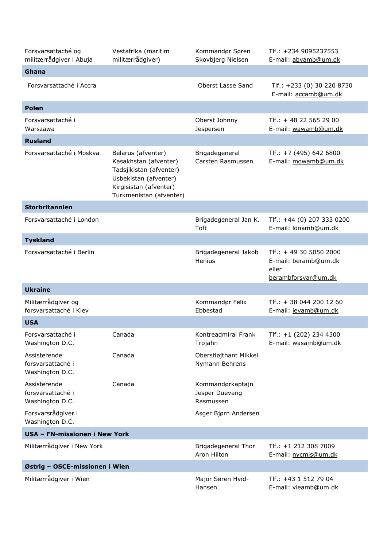| Forsvarsattaché og<br>militærrådgiver i Abuja        | Vestafrika (maritim<br>militærrådgiver)                                                                                                              | Kommandør Søren<br>Skovbjerg Nielsen            | Tlf.: +234 9095237553<br>E-mail: abvamb@um.dk                                     |
|------------------------------------------------------|------------------------------------------------------------------------------------------------------------------------------------------------------|-------------------------------------------------|-----------------------------------------------------------------------------------|
| Ghana                                                |                                                                                                                                                      |                                                 |                                                                                   |
| Forsvarsattaché i Accra                              |                                                                                                                                                      | Oberst Lasse Sand                               | Tlf.: +233 (0) 30 220 8730<br>E-mail: accamb@um.dk                                |
| <b>Polen</b>                                         |                                                                                                                                                      |                                                 |                                                                                   |
| Forsvarsattaché i<br>Warszawa                        |                                                                                                                                                      | Oberst Johnny<br>Jespersen                      | $TIf.: + 48225652900$<br>E-mail: wawamb@um.dk                                     |
| <b>Rusland</b>                                       |                                                                                                                                                      |                                                 |                                                                                   |
| Forsvarsattaché i Moskva                             | Belarus (afventer)<br>Kasakhstan (afventer)<br>Tadsjikistan (afventer)<br>Usbekistan (afventer)<br>Kirgisistan (afventer)<br>Turkmenistan (afventer) | Brigadegeneral<br>Carsten Rasmussen             | Tlf.: $+7$ (495) 642 6800<br>E-mail: mowamb@um.dk                                 |
| <b>Storbritannien</b>                                |                                                                                                                                                      |                                                 |                                                                                   |
| Forsvarsattaché i London                             |                                                                                                                                                      | Brigadegeneral Jan K.<br><b>Toft</b>            | Tlf.: +44 (0) 207 333 0200<br>E-mail: lonamb@um.dk                                |
| <b>Tyskland</b>                                      |                                                                                                                                                      |                                                 |                                                                                   |
| Forsvarsattaché i Berlin                             |                                                                                                                                                      | Brigadegeneral Jakob<br>Henius                  | Tlf.: $+ 49$ 30 5050 2000<br>E-mail: beramb@um.dk<br>eller<br>berambforsvar@um.dk |
| <b>Ukraine</b>                                       |                                                                                                                                                      |                                                 |                                                                                   |
| Militærrådgiver og<br>forsvarsattaché i Kiev         |                                                                                                                                                      | Kommandør Felix<br>Ebbestad                     | $TIf.: + 380442001260$<br>E-mail: jevamb@um.dk                                    |
| <b>USA</b>                                           |                                                                                                                                                      |                                                 |                                                                                   |
| Forsvarsattaché i<br>Washington D.C.                 | Canada                                                                                                                                               | Kontreadmiral Frank<br>Trojahn                  | Tlf.: +1 (202) 234 4300<br>E-mail: wasamb@um.dk                                   |
| Assisterende<br>forsvarsattaché i<br>Washington D.C. | Canada                                                                                                                                               | Oberstløjtnant Mikkel<br>Nymann Behrens         |                                                                                   |
| Assisterende<br>forsvarsattaché i<br>Washington D.C. | Canada                                                                                                                                               | Kommandørkaptajn<br>Jesper Duevang<br>Rasmussen |                                                                                   |
| Forsvarsrådgiver i<br>Washington D.C.                |                                                                                                                                                      | Asger Bjørn Andersen                            |                                                                                   |
| USA - FN-missionen i New York                        |                                                                                                                                                      |                                                 |                                                                                   |
| Militærrådgiver i New York                           |                                                                                                                                                      | Brigadegeneral Thor<br>Aron Hilton              | Tlf.: +1 212 308 7009<br>E-mail: nycmis@um.dk                                     |
| Østrig - OSCE-missionen i Wien                       |                                                                                                                                                      |                                                 |                                                                                   |
| Militærrådgiver i Wien                               |                                                                                                                                                      | Major Søren Hvid-<br>Hansen                     | Tlf.: +43 1 512 79 04<br>E-mail: vieamb@um.dk                                     |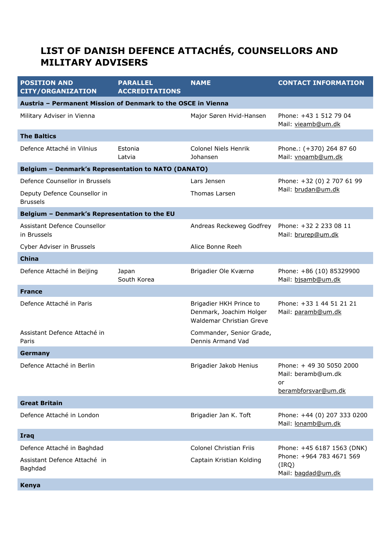## **LIST OF DANISH DEFENCE ATTACHÉS, COUNSELLORS AND MILITARY ADVISERS**

| <b>POSITION AND</b><br><b>CITY/ORGANIZATION</b>              | <b>PARALLEL</b><br><b>ACCREDITATIONS</b> | <b>NAME</b>                                                                    | <b>CONTACT INFORMATION</b>                              |  |  |  |
|--------------------------------------------------------------|------------------------------------------|--------------------------------------------------------------------------------|---------------------------------------------------------|--|--|--|
| Austria - Permanent Mission of Denmark to the OSCE in Vienna |                                          |                                                                                |                                                         |  |  |  |
| Military Adviser in Vienna                                   |                                          | Major Søren Hvid-Hansen                                                        | Phone: +43 1 512 79 04<br>Mail: vieamb@um.dk            |  |  |  |
| <b>The Baltics</b>                                           |                                          |                                                                                |                                                         |  |  |  |
| Defence Attaché in Vilnius                                   | Estonia<br>Latvia                        | <b>Colonel Niels Henrik</b><br>Johansen                                        | Phone.: (+370) 264 87 60<br>Mail: vnoamb@um.dk          |  |  |  |
| Belgium - Denmark's Representation to NATO (DANATO)          |                                          |                                                                                |                                                         |  |  |  |
| Defence Counsellor in Brussels                               |                                          | Lars Jensen                                                                    | Phone: +32 (0) 2 707 61 99                              |  |  |  |
| Deputy Defence Counsellor in<br><b>Brussels</b>              |                                          | Thomas Larsen                                                                  | Mail: brudan@um.dk                                      |  |  |  |
| Belgium - Denmark's Representation to the EU                 |                                          |                                                                                |                                                         |  |  |  |
| Assistant Defence Counsellor<br>in Brussels                  |                                          | Andreas Reckeweg Godfrey                                                       | Phone: +32 2 233 08 11<br>Mail: brurep@um.dk            |  |  |  |
| Cyber Adviser in Brussels                                    |                                          | Alice Bonne Reeh                                                               |                                                         |  |  |  |
| <b>China</b>                                                 |                                          |                                                                                |                                                         |  |  |  |
| Defence Attaché in Beijing                                   | Japan<br>South Korea                     | Brigadier Ole Kværnø                                                           | Phone: +86 (10) 85329900<br>Mail: bjsamb@um.dk          |  |  |  |
| <b>France</b>                                                |                                          |                                                                                |                                                         |  |  |  |
| Defence Attaché in Paris                                     |                                          | Brigadier HKH Prince to<br>Denmark, Joachim Holger<br>Waldemar Christian Greve | Phone: +33 1 44 51 21 21<br>Mail: paramb@um.dk          |  |  |  |
| Assistant Defence Attaché in<br>Paris                        |                                          | Commander, Senior Grade,<br>Dennis Armand Vad                                  |                                                         |  |  |  |
| Germany                                                      |                                          |                                                                                |                                                         |  |  |  |
| Defence Attaché in Berlin                                    |                                          | Brigadier Jakob Henius                                                         | Phone: +49 30 5050 2000<br>Mail: beramb@um.dk<br>or     |  |  |  |
|                                                              |                                          |                                                                                | berambforsvar@um.dk                                     |  |  |  |
| <b>Great Britain</b>                                         |                                          |                                                                                |                                                         |  |  |  |
| Defence Attaché in London                                    |                                          | Brigadier Jan K. Toft                                                          | Phone: +44 (0) 207 333 0200<br>Mail: lonamb@um.dk       |  |  |  |
| <b>Iraq</b>                                                  |                                          |                                                                                |                                                         |  |  |  |
| Defence Attaché in Baghdad                                   |                                          | Colonel Christian Friis                                                        | Phone: +45 6187 1563 (DNK)                              |  |  |  |
| Assistant Defence Attaché in<br>Baghdad                      |                                          | Captain Kristian Kolding                                                       | Phone: +964 783 4671 569<br>(IRQ)<br>Mail: bagdad@um.dk |  |  |  |
| Kenya                                                        |                                          |                                                                                |                                                         |  |  |  |